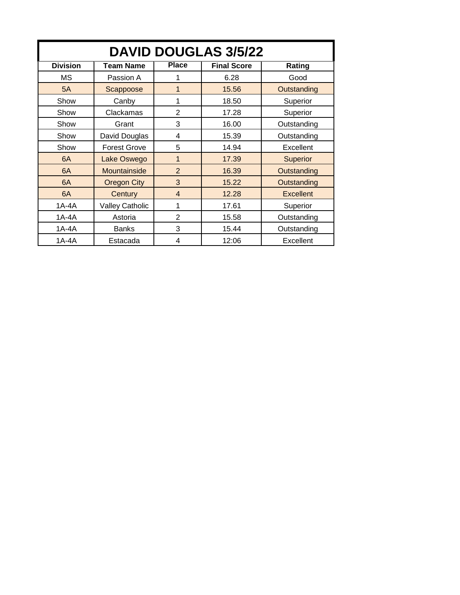| <b>DAVID DOUGLAS 3/5/22</b> |                        |                |                    |                  |  |  |
|-----------------------------|------------------------|----------------|--------------------|------------------|--|--|
| <b>Division</b>             | <b>Team Name</b>       | <b>Place</b>   | <b>Final Score</b> | Rating           |  |  |
| МS                          | Passion A              | 1              | 6.28               | Good             |  |  |
| 5A                          | Scappoose              | 1              | 15.56              | Outstanding      |  |  |
| Show                        | Canby                  | 1              | 18.50              | Superior         |  |  |
| Show                        | Clackamas              | 2              | 17.28              | Superior         |  |  |
| Show                        | Grant                  | 3              | 16.00              | Outstanding      |  |  |
| Show                        | David Douglas          | 4              | 15.39              | Outstanding      |  |  |
| Show                        | <b>Forest Grove</b>    | 5              | 14.94              | Excellent        |  |  |
| 6A                          | Lake Oswego            | $\mathbf{1}$   | 17.39              | <b>Superior</b>  |  |  |
| 6A                          | Mountainside           | $\overline{2}$ | 16.39              | Outstanding      |  |  |
| 6A                          | <b>Oregon City</b>     | 3              | 15.22              | Outstanding      |  |  |
| 6A                          | Century                | 4              | 12.28              | <b>Excellent</b> |  |  |
| $1A-4A$                     | <b>Valley Catholic</b> | 1              | 17.61              | Superior         |  |  |
| $1A-4A$                     | Astoria                | $\overline{2}$ | 15.58              | Outstanding      |  |  |
| 1A-4A                       | <b>Banks</b>           | 3              | 15.44              | Outstanding      |  |  |
| $1A-4A$                     | Estacada               | 4              | 12:06              | Excellent        |  |  |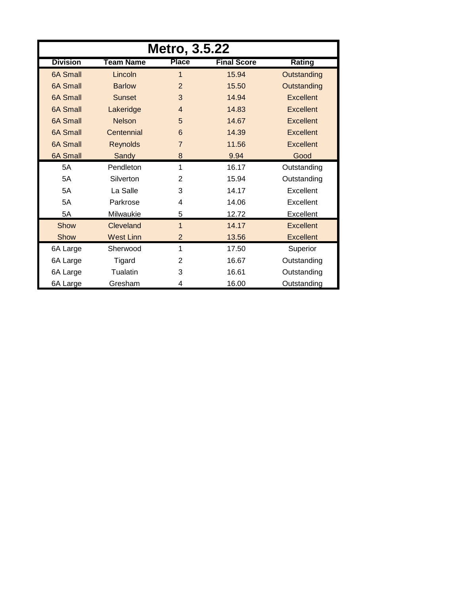| <b>Metro, 3.5.22</b> |                  |                |                    |                  |  |  |
|----------------------|------------------|----------------|--------------------|------------------|--|--|
| <b>Division</b>      | <b>Team Name</b> | <b>Place</b>   | <b>Final Score</b> | Rating           |  |  |
| <b>6A Small</b>      | Lincoln          | 1              | 15.94              | Outstanding      |  |  |
| 6A Small             | <b>Barlow</b>    | 2              | 15.50              | Outstanding      |  |  |
| 6A Small             | <b>Sunset</b>    | 3              | 14.94              | <b>Excellent</b> |  |  |
| <b>6A Small</b>      | Lakeridge        | $\overline{4}$ | 14.83              | <b>Excellent</b> |  |  |
| 6A Small             | <b>Nelson</b>    | 5              | 14.67              | <b>Excellent</b> |  |  |
| <b>6A Small</b>      | Centennial       | 6              | 14.39              | <b>Excellent</b> |  |  |
| <b>6A Small</b>      | <b>Reynolds</b>  | $\overline{7}$ | 11.56              | <b>Excellent</b> |  |  |
| <b>6A Small</b>      | Sandy            | 8              | 9.94               | Good             |  |  |
| 5A                   | Pendleton        | 1              | 16.17              | Outstanding      |  |  |
| 5A                   | Silverton        | $\overline{2}$ | 15.94              | Outstanding      |  |  |
| 5A                   | La Salle         | 3              | 14.17              | Excellent        |  |  |
| 5A                   | Parkrose         | 4              | 14.06              | Excellent        |  |  |
| 5A                   | Milwaukie        | 5              | 12.72              | Excellent        |  |  |
| Show                 | Cleveland        | $\mathbf{1}$   | 14.17              | <b>Excellent</b> |  |  |
| Show                 | <b>West Linn</b> | 2              | 13.56              | <b>Excellent</b> |  |  |
| 6A Large             | Sherwood         | 1              | 17.50              | Superior         |  |  |
| 6A Large             | Tigard           | 2              | 16.67              | Outstanding      |  |  |
| 6A Large             | Tualatin         | 3              | 16.61              | Outstanding      |  |  |
| 6A Large             | Gresham          | 4              | 16.00              | Outstanding      |  |  |